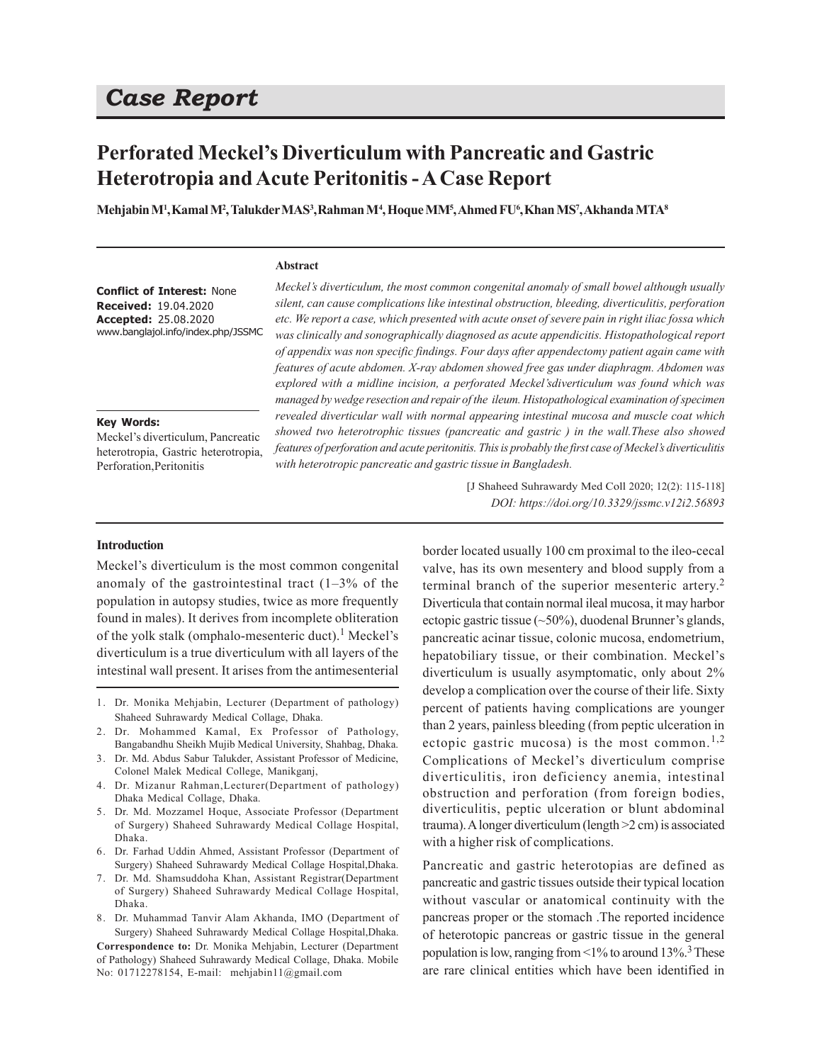# *Case Report*

# **Perforated Meckel's Diverticulum with Pancreatic and Gastric Heterotropia and Acute Peritonitis - A Case Report**

**Mehjabin M<sup>1</sup> ,Kamal M<sup>2</sup> , Talukder MAS<sup>3</sup> ,Rahman M<sup>4</sup> , Hoque MM<sup>5</sup> , Ahmed FU<sup>6</sup> ,Khan MS<sup>7</sup> , Akhanda MTA<sup>8</sup>**

#### **Abstract**

**Conflict of Interest:** None **Received:** 19.04.2020 **Accepted:** 25.08.2020 www.banglajol.info/index.php/JSSMC

*Meckel's diverticulum, the most common congenital anomaly of small bowel although usually silent, can cause complications like intestinal obstruction, bleeding, diverticulitis, perforation etc. We report a case, which presented with acute onset of severe pain in right iliac fossa which was clinically and sonographically diagnosed as acute appendicitis. Histopathological report of appendix was non specific findings. Four days after appendectomy patient again came with features of acute abdomen. X-ray abdomen showed free gas under diaphragm. Abdomen was explored with a midline incision, a perforated Meckel'sdiverticulum was found which was managed by wedge resection and repair of the ileum. Histopathological examination of specimen revealed diverticular wall with normal appearing intestinal mucosa and muscle coat which showed two heterotrophic tissues (pancreatic and gastric ) in the wall.These also showed features of perforation and acute peritonitis. This is probably the first case of Meckel's diverticulitis with heterotropic pancreatic and gastric tissue in Bangladesh.*

#### **Key Words:**

Meckel's diverticulum, Pancreatic heterotropia, Gastric heterotropia, Perforation,Peritonitis

> [J Shaheed Suhrawardy Med Coll 2020; 12(2): 115-118] *DOI: https://doi.org/10.3329/jssmc.v12i2.56893*

#### **Introduction**

Meckel's diverticulum is the most common congenital anomaly of the gastrointestinal tract  $(1-3\% \text{ of the})$ population in autopsy studies, twice as more frequently found in males). It derives from incomplete obliteration of the yolk stalk (omphalo-mesenteric duct).<sup>1</sup> Meckel's diverticulum is a true diverticulum with all layers of the intestinal wall present. It arises from the antimesenterial

- 2. Dr. Mohammed Kamal, Ex Professor of Pathology, Bangabandhu Sheikh Mujib Medical University, Shahbag, Dhaka.
- 3. Dr. Md. Abdus Sabur Talukder, Assistant Professor of Medicine, Colonel Malek Medical College, Manikganj,
- 4. Dr. Mizanur Rahman,Lecturer(Department of pathology) Dhaka Medical Collage, Dhaka.
- 5. Dr. Md. Mozzamel Hoque, Associate Professor (Department of Surgery) Shaheed Suhrawardy Medical Collage Hospital, Dhaka.
- 6. Dr. Farhad Uddin Ahmed, Assistant Professor (Department of Surgery) Shaheed Suhrawardy Medical Collage Hospital,Dhaka.
- 7. Dr. Md. Shamsuddoha Khan, Assistant Registrar(Department of Surgery) Shaheed Suhrawardy Medical Collage Hospital, Dhaka.
- 8. Dr. Muhammad Tanvir Alam Akhanda, IMO (Department of Surgery) Shaheed Suhrawardy Medical Collage Hospital,Dhaka.

**Correspondence to:** Dr. Monika Mehjabin, Lecturer (Department of Pathology) Shaheed Suhrawardy Medical Collage, Dhaka. Mobile No: 01712278154, E-mail: mehjabin11@gmail.com

border located usually 100 cm proximal to the ileo-cecal valve, has its own mesentery and blood supply from a terminal branch of the superior mesenteric artery. 2 Diverticula that contain normal ileal mucosa, it may harbor ectopic gastric tissue (~50%), duodenal Brunner's glands, pancreatic acinar tissue, colonic mucosa, endometrium, hepatobiliary tissue, or their combination. Meckel's diverticulum is usually asymptomatic, only about 2% develop a complication over the course of their life. Sixty percent of patients having complications are younger than 2 years, painless bleeding (from peptic ulceration in ectopic gastric mucosa) is the most common.<sup>1,2</sup> Complications of Meckel's diverticulum comprise diverticulitis, iron deficiency anemia, intestinal obstruction and perforation (from foreign bodies, diverticulitis, peptic ulceration or blunt abdominal trauma). A longer diverticulum (length >2 cm) is associated with a higher risk of complications.

Pancreatic and gastric heterotopias are defined as pancreatic and gastric tissues outside their typical location without vascular or anatomical continuity with the pancreas proper or the stomach .The reported incidence of heterotopic pancreas or gastric tissue in the general population is low, ranging from  $\leq 1\%$  to around 13%.<sup>3</sup> These are rare clinical entities which have been identified in

<sup>1.</sup> Dr. Monika Mehjabin, Lecturer (Department of pathology) Shaheed Suhrawardy Medical Collage, Dhaka.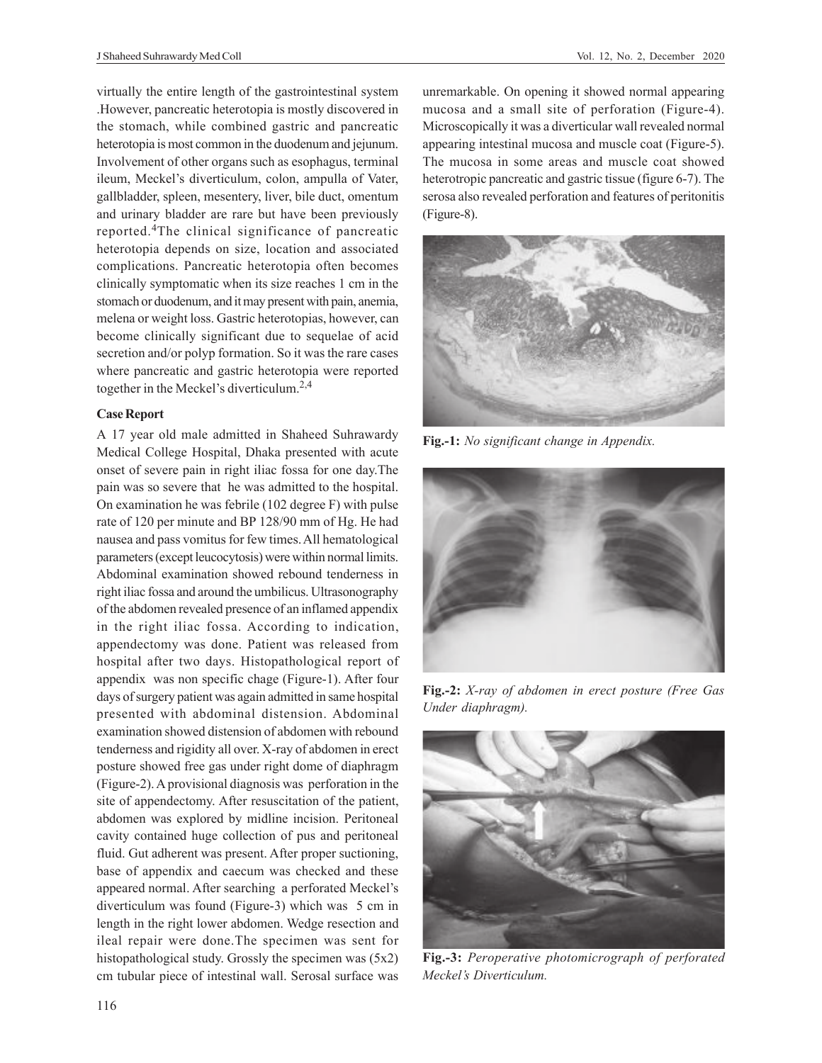virtually the entire length of the gastrointestinal system .However, pancreatic heterotopia is mostly discovered in the stomach, while combined gastric and pancreatic heterotopia is most common in the duodenum and jejunum. Involvement of other organs such as esophagus, terminal ileum, Meckel's diverticulum, colon, ampulla of Vater, gallbladder, spleen, mesentery, liver, bile duct, omentum and urinary bladder are rare but have been previously reported.4The clinical significance of pancreatic heterotopia depends on size, location and associated complications. Pancreatic heterotopia often becomes clinically symptomatic when its size reaches 1 cm in the stomach or duodenum, and it may present with pain, anemia, melena or weight loss. Gastric heterotopias, however, can become clinically significant due to sequelae of acid secretion and/or polyp formation. So it was the rare cases where pancreatic and gastric heterotopia were reported together in the Meckel's diverticulum.2,4

## **Case Report**

A 17 year old male admitted in Shaheed Suhrawardy Medical College Hospital, Dhaka presented with acute onset of severe pain in right iliac fossa for one day.The pain was so severe that he was admitted to the hospital. On examination he was febrile (102 degree F) with pulse rate of 120 per minute and BP 128/90 mm of Hg. He had nausea and pass vomitus for few times. All hematological parameters (except leucocytosis) were within normal limits. Abdominal examination showed rebound tenderness in right iliac fossa and around the umbilicus. Ultrasonography of the abdomen revealed presence of an inflamed appendix in the right iliac fossa. According to indication, appendectomy was done. Patient was released from hospital after two days. Histopathological report of appendix was non specific chage (Figure-1). After four days of surgery patient was again admitted in same hospital presented with abdominal distension. Abdominal examination showed distension of abdomen with rebound tenderness and rigidity all over. X-ray of abdomen in erect posture showed free gas under right dome of diaphragm (Figure-2). A provisional diagnosis was perforation in the site of appendectomy. After resuscitation of the patient, abdomen was explored by midline incision. Peritoneal cavity contained huge collection of pus and peritoneal fluid. Gut adherent was present. After proper suctioning, base of appendix and caecum was checked and these appeared normal. After searching a perforated Meckel's diverticulum was found (Figure-3) which was 5 cm in length in the right lower abdomen. Wedge resection and ileal repair were done.The specimen was sent for histopathological study. Grossly the specimen was (5x2) cm tubular piece of intestinal wall. Serosal surface was

unremarkable. On opening it showed normal appearing mucosa and a small site of perforation (Figure-4). Microscopically it was a diverticular wall revealed normal appearing intestinal mucosa and muscle coat (Figure-5). The mucosa in some areas and muscle coat showed heterotropic pancreatic and gastric tissue (figure 6-7). The serosa also revealed perforation and features of peritonitis (Figure-8).



**Fig.-1:** *No significant change in Appendix.*



**Fig.-2:** *X-ray of abdomen in erect posture (Free Gas Under diaphragm).*



**Fig.-3:** *Peroperative photomicrograph of perforated Meckel's Diverticulum.*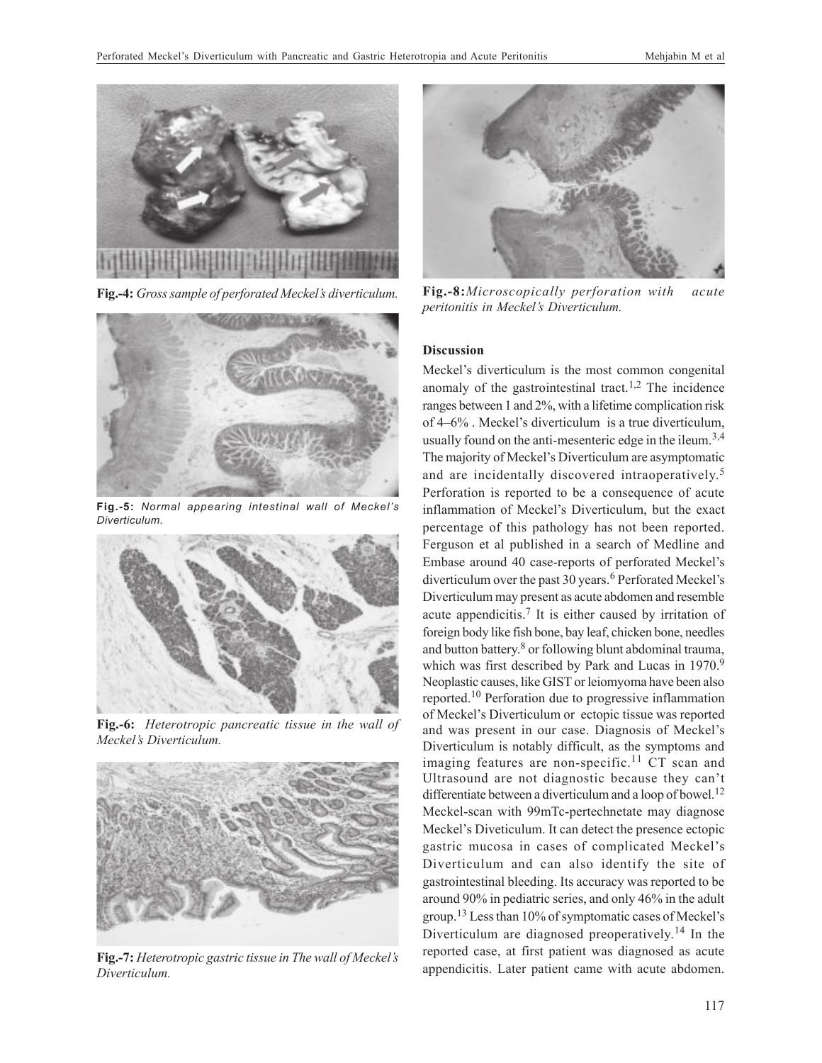

**Fig.-4:** *Gross sample of perforated Meckel's diverticulum.*



**Fig.-5:** *Normal appearing intestinal wall of Meckel's Diverticulum.*



**Fig.-6:** *Heterotropic pancreatic tissue in the wall of Meckel's Diverticulum.*



**Fig.-7:** *Heterotropic gastric tissue in The wall of Meckel's Diverticulum.*



**Fig.-8:***Microscopically perforation with acute peritonitis in Meckel's Diverticulum.*

#### **Discussion**

Meckel's diverticulum is the most common congenital anomaly of the gastrointestinal tract.<sup>1,2</sup> The incidence ranges between 1 and 2%, with a lifetime complication risk of 4–6% . Meckel's diverticulum is a true diverticulum, usually found on the anti-mesenteric edge in the ileum.<sup>3,4</sup> The majority of Meckel's Diverticulum are asymptomatic and are incidentally discovered intraoperatively.<sup>5</sup> Perforation is reported to be a consequence of acute inflammation of Meckel's Diverticulum, but the exact percentage of this pathology has not been reported. Ferguson et al published in a search of Medline and Embase around 40 case-reports of perforated Meckel's diverticulum over the past 30 years.<sup>6</sup> Perforated Meckel's Diverticulum may present as acute abdomen and resemble acute appendicitis.<sup>7</sup> It is either caused by irritation of foreign body like fish bone, bay leaf, chicken bone, needles and button battery.<sup>8</sup> or following blunt abdominal trauma, which was first described by Park and Lucas in 1970.<sup>9</sup> Neoplastic causes, like GIST or leiomyoma have been also reported.10 Perforation due to progressive inflammation of Meckel's Diverticulum or ectopic tissue was reported and was present in our case. Diagnosis of Meckel's Diverticulum is notably difficult, as the symptoms and imaging features are non-specific.<sup>11</sup> CT scan and Ultrasound are not diagnostic because they can't differentiate between a diverticulum and a loop of bowel.<sup>12</sup> Meckel-scan with 99mTc-pertechnetate may diagnose Meckel's Diveticulum. It can detect the presence ectopic gastric mucosa in cases of complicated Meckel's Diverticulum and can also identify the site of gastrointestinal bleeding. Its accuracy was reported to be around 90% in pediatric series, and only 46% in the adult group.13 Less than 10% of symptomatic cases of Meckel's Diverticulum are diagnosed preoperatively. <sup>14</sup> In the reported case, at first patient was diagnosed as acute appendicitis. Later patient came with acute abdomen.